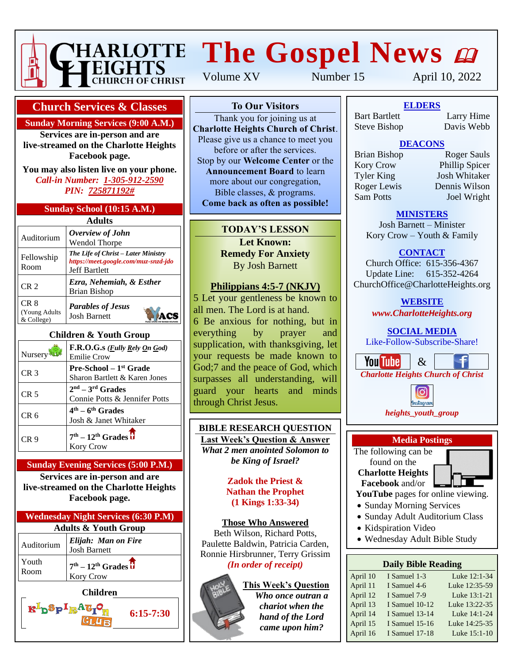

# **HARLOTTE The Gospel News @**

**Church Services & Classes**

**Sunday Morning Services (9:00 A.M.)**

**Services are in-person and are live-streamed on the Charlotte Heights Facebook page.**

**You may also listen live on your phone.** *Call-in Number: 1-305-912-2590 PIN: 725871192#*

#### **Sunday School (10:15 A.M.)**

| Adults                                          |                                                                                                     |  |  |  |  |
|-------------------------------------------------|-----------------------------------------------------------------------------------------------------|--|--|--|--|
| Auditorium                                      | Overview of John<br>Wendol Thorpe                                                                   |  |  |  |  |
| Fellowship<br>Room                              | The Life of Christ - Later Ministry<br>https://meet.google.com/muz-snzd-jdo<br><b>Jeff Bartlett</b> |  |  |  |  |
| CR <sub>2</sub>                                 | Ezra, Nehemiah, & Esther<br><b>Brian Bishop</b>                                                     |  |  |  |  |
| CR <sub>8</sub><br>(Young Adults)<br>& College) | <b>Parables of Jesus</b><br><b>Josh Barnett</b>                                                     |  |  |  |  |

#### **Children & Youth Group**

| Nursery         | F.R.O.G.s ( <i>Fully Rely On God</i> )<br><b>Emilie Crow</b>        |
|-----------------|---------------------------------------------------------------------|
| CR <sub>3</sub> | Pre-School - 1 <sup>st</sup> Grade<br>Sharon Bartlett & Karen Jones |
| CR <sub>5</sub> | $2nd - 3rd$ Grades<br>Connie Potts & Jennifer Potts                 |
| CR 6            | $4th - 6th$ Grades<br>Josh & Janet Whitaker                         |
| CR 9            | $7th - 12th$ Grades $\overline{U}$<br><b>Kory Crow</b>              |

#### **Sunday Evening Services (5:00 P.M.)**

**Services are in-person and are live-streamed on the Charlotte Heights Facebook page.**

| <b>Wednesday Night Services (6:30 P.M)</b> |                                            |  |  |  |  |
|--------------------------------------------|--------------------------------------------|--|--|--|--|
| <b>Adults &amp; Youth Group</b>            |                                            |  |  |  |  |
| Auditorium                                 | Elijah: Man on Fire<br><b>Josh Barnett</b> |  |  |  |  |
| Youth<br>Room                              | $7th - 12th Grades$<br>Kory Crow           |  |  |  |  |
|                                            | <b>Children</b>                            |  |  |  |  |

# $R^{\perp}$ p $^{\circ}P^{\perp}$ r **6:15-7:30**

Volume XV Number 15 April 10, 2022

#### **To Our Visitors**

Thank you for joining us at **Charlotte Heights Church of Christ**. Please give us a chance to meet you before or after the services. Stop by our **Welcome Center** or the **Announcement Board** to learn more about our congregation, Bible classes, & programs. **Come back as often as possible!**

#### **TODAY'S LESSON Let Known: Remedy For Anxiety** By Josh Barnett

#### **Philippians 4:5-7 (NKJV)**

5 Let your gentleness be known to all men. The Lord is at hand. 6 Be anxious for nothing, but in everything by prayer and supplication, with thanksgiving, let your requests be made known to God;7 and the peace of God, which surpasses all understanding, will guard your hearts and minds through Christ Jesus.

#### **BIBLE RESEARCH QUESTION Last Week's Question & Answer**

*What 2 men anointed Solomon to be King of Israel?*

#### **Zadok the Priest & Nathan the Prophet (1 Kings 1:33-34)**

**Those Who Answered** Beth Wilson, Richard Potts,

Paulette Baldwin, Patricia Carden, Ronnie Hirsbrunner, Terry Grissim *(In order of receipt)*

#### **This Week's Question**

*Who once outran a chariot when the hand of the Lord came upon him?*

**To Our Visitors ELDERS** Bart Bartlett

Larry Hime<br>Davis Webb Steve Bishop Davis Webb

# **DEACONS**

**Announcement Board Lines**<br>
Tyler King Josh Whitaker more about the congregation of the Roger Lewis Dennis Wilson Bible classes, & programs. Sam Potts Joel Wright **Commentary Comment as a society of the post of the property of the set of the set of the set of the set of the set of the set of the set of the set of the set of the set of the set of the set of the set of the set of the** 

Brian Bishop Roger Sauls Extends by Origin Bishop<br> **Kory Crow** Phillip Spicer

#### **MINISTERS**

Josh Barnett – Minister Kory Crow – Youth & Family

#### **CONTACT**

Church Office: 615-356-4367 Update Line: 615-352-4264 ChurchOffice@CharlotteHeights.org

**WEBSITE**

*www.CharlotteHeights.org*

**SOCIAL MEDIA** Like-Follow-Subscribe-Share!





# **Media Postings**

The following can be found on the **Charlotte Heights Facebook** and/or

**YouTube** pages for online viewing.

- Sunday Morning Services
- Sunday Adult Auditorium Class
- Kidspiration Video
- Wednesday Adult Bible Study

#### **Daily Bible Reading**

| I Samuel 1-3          | Luke 12:1-34  |
|-----------------------|---------------|
| I Samuel 4-6          | Luke 12:35-59 |
| I Samuel 7-9          | Luke 13:1-21  |
| I Samuel 10-12        | Luke 13:22-35 |
| <b>I</b> Samuel 13-14 | Luke 14:1-24  |
| <b>I</b> Samuel 15-16 | Luke 14:25-35 |
| I Samuel 17-18        | Luke 15:1-10  |
|                       |               |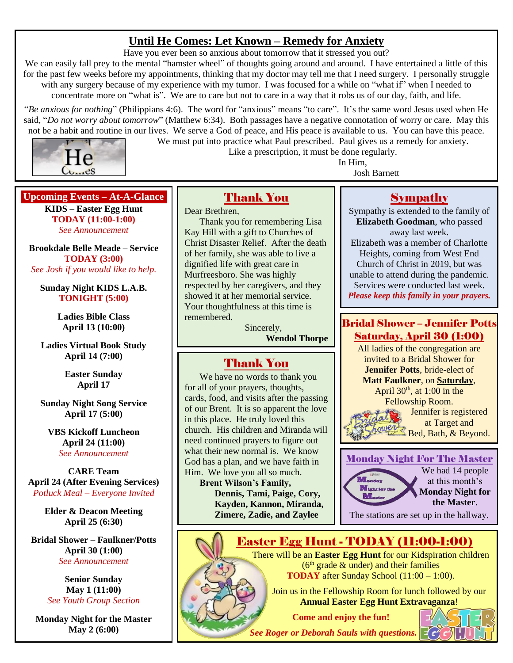# **Until He Comes: Let Known – Remedy for Anxiety**

Have you ever been so anxious about tomorrow that it stressed you out?

We can easily fall prey to the mental "hamster wheel" of thoughts going around and around. I have entertained a little of this for the past few weeks before my appointments, thinking that my doctor may tell me that I need surgery. I personally struggle with any surgery because of my experience with my tumor. I was focused for a while on "what if" when I needed to concentrate more on "what is". We are to care but not to care in a way that it robs us of our day, faith, and life.

"*Be anxious for nothing*" (Philippians 4:6). The word for "anxious" means "to care". It's the same word Jesus used when He said, "*Do not worry about tomorrow*" (Matthew 6:34). Both passages have a negative connotation of worry or care. May this not be a habit and routine in our lives. We serve a God of peace, and His peace is available to us. You can have this peace.



We must put into practice what Paul prescribed. Paul gives us a remedy for anxiety. Like a prescription, it must be done regularly.

In Him,

Josh Barnett

#### **Upcoming Events – At-A-Glance**

**KIDS – Easter Egg Hunt TODAY (11:00-1:00)** *See Announcement*

**Brookdale Belle Meade – Service TODAY (3:00)** *See Josh if you would like to help.*

**Sunday Night KIDS L.A.B. TONIGHT (5:00)**

> **Ladies Bible Class April 13 (10:00)**

**Ladies Virtual Book Study April 14 (7:00)**

> **Easter Sunday April 17**

**Sunday Night Song Service April 17 (5:00)**

**VBS Kickoff Luncheon April 24 (11:00)** *See Announcement*

**CARE Team April 24 (After Evening Services)** *Potluck Meal – Everyone Invited*

> **Elder & Deacon Meeting April 25 (6:30)**

**Bridal Shower – Faulkner/Potts April 30 (1:00)** *See Announcement*

> **Senior Sunday May 1 (11:00)** *See Youth Group Section*

**Monday Night for the Master May 2 (6:00)**

Thank You

Dear Brethren, Thank you for remembering Lisa Kay Hill with a gift to Churches of Christ Disaster Relief. After the death of her family, she was able to live a dignified life with great care in Murfreesboro. She was highly respected by her caregivers, and they showed it at her memorial service. Your thoughtfulness at this time is remembered.

> Sincerely, **Wendol Thorpe**

# Thank You

We have no words to thank you for all of your prayers, thoughts, cards, food, and visits after the passing of our Brent. It is so apparent the love in this place. He truly loved this church. His children and Miranda will need continued prayers to figure out what their new normal is. We know God has a plan, and we have faith in Him. We love you all so much.

**Brent Wilson's Family, Dennis, Tami, Paige, Cory, Kayden, Kannon, Miranda, Zimere, Zadie, and Zaylee**

# Sympathy

Sympathy is extended to the family of **Elizabeth Goodman**, who passed away last week. Elizabeth was a member of Charlotte Heights, coming from West End Church of Christ in 2019, but was unable to attend during the pandemic. Services were conducted last week. *Please keep this family in your prayers.*

### Bridal Shower – Jennifer Potts Saturday, April 30 (1:00)

All ladies of the congregation are invited to a Bridal Shower for **Jennifer Potts**, bride-elect of **Matt Faulkner**, on **Saturday**, April  $30<sup>th</sup>$ , at 1:00 in the Fellowship Room.



Monday Night For The Master



The stations are set up in the hallway.

# Easter Egg Hunt - TODAY (11:00-1:00)

There will be an **Easter Egg Hunt** for our Kidspiration children  $(6<sup>th</sup> grade & under)$  and their families **TODAY** after Sunday School (11:00 – 1:00).

Join us in the Fellowship Room for lunch followed by our **Annual Easter Egg Hunt Extravaganza**!

**Come and enjoy the fun!**

*See Roger or Deborah Sauls with questions.*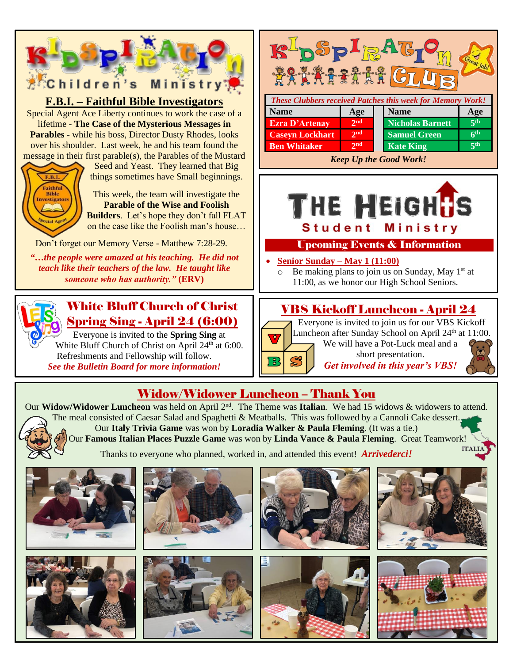

Our **Italy Trivia Game** was won by **Loradia Walker & Paula Fleming**. (It was a tie.)

Our **Famous Italian Places Puzzle Game** was won by **Linda Vance & Paula Fleming**. Great Teamwork!